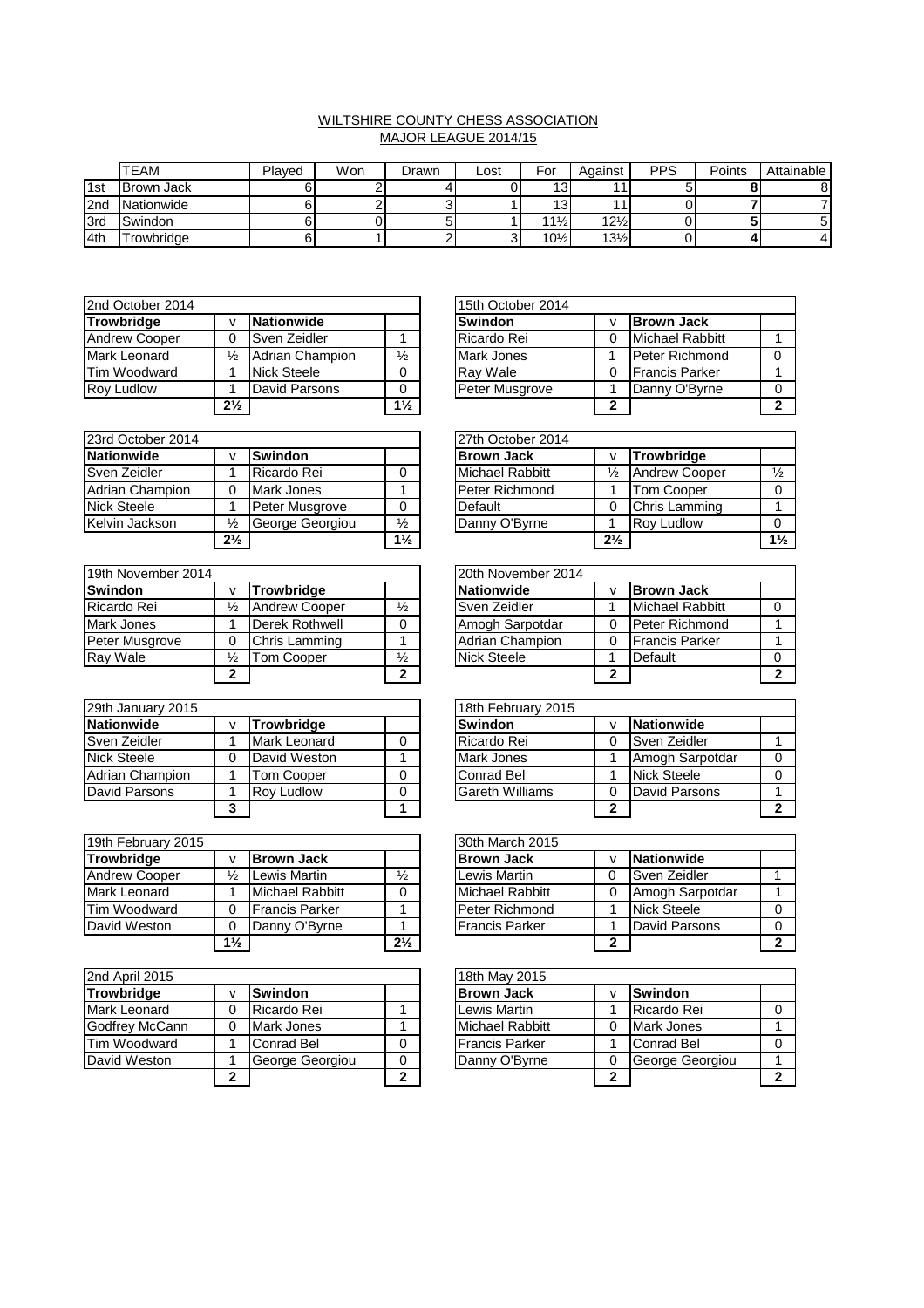## WILTSHIRE COUNTY CHESS ASSOCIATION MAJOR LEAGUE 2014/15

|                   | <b>TEAM</b>       | Plaved | Won | Drawn | Lost | For             | Against         | <b>PPS</b> | Points | <b>Attainable</b> |
|-------------------|-------------------|--------|-----|-------|------|-----------------|-----------------|------------|--------|-------------------|
| 1st               | <b>Brown Jack</b> |        |     |       |      | 13              |                 |            |        |                   |
| I <sub>2</sub> nd | Nationwide        |        |     |       |      | ت ا             |                 |            |        |                   |
| <b>I</b> 3rd      | Swindon           |        |     |       |      | $11\frac{1}{2}$ | $12\frac{1}{2}$ |            |        |                   |
| 4th               | -rowbridge        |        |     |       |      | $10\frac{1}{2}$ | $13\frac{1}{2}$ |            |        |                   |

| 2nd October 2014     |                |                    |                | 15th October 2014 |   |                       |
|----------------------|----------------|--------------------|----------------|-------------------|---|-----------------------|
| <b>Trowbridge</b>    |                | <b>Nationwide</b>  |                | <b>Swindon</b>    |   | <b>Brown Jack</b>     |
| <b>Andrew Cooper</b> |                | Sven Zeidler       |                | Ricardo Rei       |   | Michael Rabbitt       |
| Mark Leonard         | ⅓              | Adrian Champion    | $\frac{1}{2}$  | Mark Jones        |   | <b>Peter Richmond</b> |
| Tim Woodward         |                | <b>Nick Steele</b> |                | Ray Wale          |   | <b>Francis Parker</b> |
| <b>Roy Ludlow</b>    |                | David Parsons      | 0              | Peter Musgrove    |   | Danny O'Byrne         |
|                      | $2\frac{1}{2}$ |                    | $1\frac{1}{2}$ |                   | ◠ |                       |

| 23rd October 2014  |                               |                 |                | 27th October 2014 |                |                      |
|--------------------|-------------------------------|-----------------|----------------|-------------------|----------------|----------------------|
| <b>Nationwide</b>  |                               | <b>Swindon</b>  |                | <b>Brown Jack</b> |                | <b>Trowbridge</b>    |
| Sven Zeidler       |                               | Ricardo Rei     | 0              | Michael Rabbitt   | $\frac{1}{2}$  | <b>Andrew Cooper</b> |
| Adrian Champion    |                               | Mark Jones      |                | Peter Richmond    |                | <b>Tom Cooper</b>    |
| <b>Nick Steele</b> |                               | Peter Musgrove  | 0              | Default           |                | Chris Lamming        |
| Kelvin Jackson     | ℅                             | George Georgiou | ⅓              | Danny O'Byrne     |                | <b>Rov Ludlow</b>    |
|                    | 2 <sup>1</sup> / <sub>2</sub> |                 | $1\frac{1}{2}$ |                   | $2\frac{1}{2}$ |                      |

| 19th November 2014 |               |                      |               | 20th November 2014 |                    |   |                       |  |
|--------------------|---------------|----------------------|---------------|--------------------|--------------------|---|-----------------------|--|
| <b>Swindon</b>     |               | Trowbridge           |               |                    | Nationwide         |   | <b>Brown Jack</b>     |  |
| Ricardo Rei        | $\frac{1}{2}$ | <b>Andrew Cooper</b> | $\frac{1}{2}$ |                    | Sven Zeidler       |   | Michael Rabbitt       |  |
| Mark Jones         |               | Derek Rothwell       |               |                    | Amogh Sarpotdar    |   | Peter Richmond        |  |
| Peter Musgrove     |               | Chris Lamming        |               |                    | Adrian Champion    |   | <b>Francis Parker</b> |  |
| Ray Wale           | ⅓             | <b>Tom Cooper</b>    | $\frac{1}{2}$ |                    | <b>Nick Steele</b> |   | Default               |  |
|                    | າ             |                      | ົ             |                    |                    | ◠ |                       |  |

| 29th January 2015 |   |                   |   | 18th February 2015     |   |                 |
|-------------------|---|-------------------|---|------------------------|---|-----------------|
| Nationwide        |   | Trowbridge        |   | <b>Swindon</b>         |   | Nationwide      |
| Sven Zeidler      |   | Mark Leonard      | 0 | Ricardo Rei            |   | Sven Zeidler    |
| Nick Steele       |   | David Weston      |   | Mark Jones             |   | Amogh Sarpotdar |
| Adrian Champion   |   | Tom Cooper        | 0 | Conrad Bel             |   | Nick Steele     |
| David Parsons     |   | <b>Rov Ludlow</b> | 0 | <b>Gareth Williams</b> |   | David Parsons   |
|                   | າ |                   |   |                        | ◠ |                 |

| 19th February 2015   |                |                        |                | 30th March 2015        |   |                    |
|----------------------|----------------|------------------------|----------------|------------------------|---|--------------------|
| <b>Trowbridge</b>    |                | <b>Brown Jack</b>      |                | <b>Brown Jack</b>      |   | <b>Nationwide</b>  |
| <b>Andrew Cooper</b> | $\frac{1}{2}$  | Lewis Martin           | $\frac{1}{2}$  | Lewis Martin           | 0 | Sven Zeidler       |
| Mark Leonard         |                | Michael Rabbitt        | 0              | <b>Michael Rabbitt</b> |   | Amogh Sarpotdar    |
| Tim Woodward         | 0              | <b>IFrancis Parker</b> |                | Peter Richmond         |   | <b>Nick Steele</b> |
| David Weston         | 0              | Danny O'Byrne          |                | <b>Francis Parker</b>  |   | David Parsons      |
|                      | $1\frac{1}{2}$ |                        | $2\frac{1}{2}$ |                        | ົ |                    |

| 2nd April 2015      |   |                 |   | 18th May 2015          |  |                   |  |  |
|---------------------|---|-----------------|---|------------------------|--|-------------------|--|--|
| <b>Trowbridge</b>   |   | <b>Swindon</b>  |   | <b>Brown Jack</b>      |  | <b>Swindon</b>    |  |  |
| <b>Mark Leonard</b> | 0 | Ricardo Rei     |   | Lewis Martin           |  | Ricardo Rei       |  |  |
| Godfrey McCann      | 0 | Mark Jones      |   | <b>Michael Rabbitt</b> |  | Mark Jones        |  |  |
| Tim Woodward        |   | Conrad Bel      | 0 | <b>Francis Parker</b>  |  | <b>Conrad Bel</b> |  |  |
| David Weston        |   | George Georgiou |   | Danny O'Byrne          |  | George Georgiou   |  |  |
|                     | ∍ |                 | ◠ |                        |  |                   |  |  |

|                |                 |                | 15th October 2014 |   |                       |  |
|----------------|-----------------|----------------|-------------------|---|-----------------------|--|
| v              | Nationwide      |                | <b>Swindon</b>    |   | <b>Brown Jack</b>     |  |
| $\Omega$       | Sven Zeidler    |                | Ricardo Rei       |   | Michael Rabbitt       |  |
| $\frac{1}{2}$  | Adrian Champion | ⅓              | <b>Mark Jones</b> |   | <b>Peter Richmond</b> |  |
|                | Nick Steele     |                | Ray Wale          |   | <b>Francis Parker</b> |  |
|                | David Parsons   |                | Peter Musgrove    |   | Danny O'Byrne         |  |
| $2\frac{1}{2}$ |                 | $1\frac{1}{2}$ |                   | 2 |                       |  |

|                |                 |                | 27th October 2014 |                |                   |                |
|----------------|-----------------|----------------|-------------------|----------------|-------------------|----------------|
| <b>V</b>       | <b>Swindon</b>  |                | <b>Brown Jack</b> |                | <b>Trowbridge</b> |                |
|                | Ricardo Rei     |                | Michael Rabbitt   | ⅓              | Andrew Cooper     |                |
| $\Omega$       | Mark Jones      |                | Peter Richmond    |                | Tom Cooper        |                |
|                | Peter Musgrove  |                | Default           |                | Chris Lamming     |                |
| $\frac{1}{2}$  | George Georgiou | $\frac{1}{2}$  | Danny O'Byrne     |                | <b>Rov Ludlow</b> |                |
| $2\frac{1}{2}$ |                 | $1\frac{1}{2}$ |                   | $2\frac{1}{2}$ |                   | $1\frac{1}{2}$ |

|              |                      |               | 20th November 2014     |                        |  |
|--------------|----------------------|---------------|------------------------|------------------------|--|
| v            | <b>Trowbridge</b>    |               | Nationwide             | <b>Brown Jack</b>      |  |
| ⅛            | <b>Andrew Cooper</b> | $\frac{1}{2}$ | Sven Zeidler           | <b>Michael Rabbitt</b> |  |
| 1            | Derek Rothwell       |               | Amogh Sarpotdar        | <b>Peter Richmond</b>  |  |
| 0            | Chris Lamming        |               | <b>Adrian Champion</b> | <b>Francis Parker</b>  |  |
| ⅛            | Tom Cooper           | $\frac{1}{2}$ | <b>Nick Steele</b>     | Default                |  |
| $\mathbf{2}$ |                      | ◠             |                        |                        |  |

|   |                   | 18th February 2015     |                    |   |
|---|-------------------|------------------------|--------------------|---|
| v | <b>Trowbridge</b> | <b>Swindon</b>         | <b>Nationwide</b>  |   |
|   | Mark Leonard      | Ricardo Rei            | Sven Zeidler       |   |
| 0 | David Weston      | <b>Mark Jones</b>      | Amogh Sarpotdar    |   |
|   | Tom Cooper        | Conrad Bel             | <b>Nick Steele</b> |   |
|   | <b>Rov Ludlow</b> | <b>Gareth Williams</b> | David Parsons      |   |
| 3 |                   |                        |                    | ◠ |

|                |                       |                | 30th March 2015       |                 |  |
|----------------|-----------------------|----------------|-----------------------|-----------------|--|
| <b>V</b>       | <b>Brown Jack</b>     |                | <b>Brown Jack</b>     | Nationwide      |  |
| $\frac{1}{2}$  | Lewis Martin          | ⅓              | Lewis Martin          | Sven Zeidler    |  |
|                | Michael Rabbitt       |                | Michael Rabbitt       | Amogh Sarpotdar |  |
| $\Omega$       | <b>Francis Parker</b> |                | Peter Richmond        | Nick Steele     |  |
| $\Omega$       | Danny O'Byrne         |                | <b>Francis Parker</b> | David Parsons   |  |
| $1\frac{1}{2}$ |                       | $2\frac{1}{2}$ |                       |                 |  |

|   |                 |   | 18th May 2015         |   |                   |  |  |  |  |  |
|---|-----------------|---|-----------------------|---|-------------------|--|--|--|--|--|
| v | <b>Swindon</b>  |   | <b>Brown Jack</b>     |   | <b>Swindon</b>    |  |  |  |  |  |
| 0 | Ricardo Rei     |   | Lewis Martin          |   | Ricardo Rei       |  |  |  |  |  |
| 0 | Mark Jones      |   | Michael Rabbitt       |   | <b>Mark Jones</b> |  |  |  |  |  |
|   | Conrad Bel      |   | <b>Francis Parker</b> |   | Conrad Bel        |  |  |  |  |  |
|   | George Georgiou |   | Danny O'Byrne         |   | George Georgiou   |  |  |  |  |  |
| 2 |                 | ◠ |                       | ∍ |                   |  |  |  |  |  |